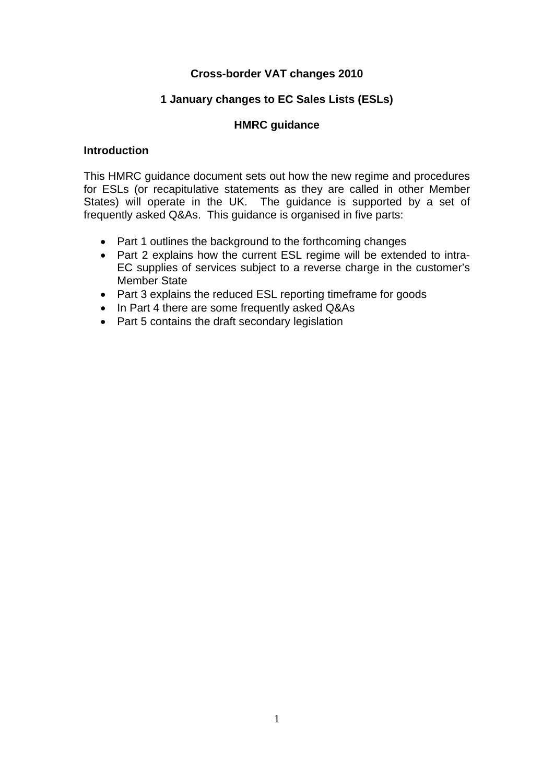# **Cross-border VAT changes 2010**

#### **1 January changes to EC Sales Lists (ESLs)**

#### **HMRC guidance**

#### **Introduction**

This HMRC guidance document sets out how the new regime and procedures for ESLs (or recapitulative statements as they are called in other Member States) will operate in the UK. The guidance is supported by a set of frequently asked Q&As. This guidance is organised in five parts:

- Part 1 outlines the background to the forthcoming changes
- Part 2 explains how the current ESL regime will be extended to intra-EC supplies of services subject to a reverse charge in the customer's Member State
- Part 3 explains the reduced ESL reporting timeframe for goods
- In Part 4 there are some frequently asked Q&As
- Part 5 contains the draft secondary legislation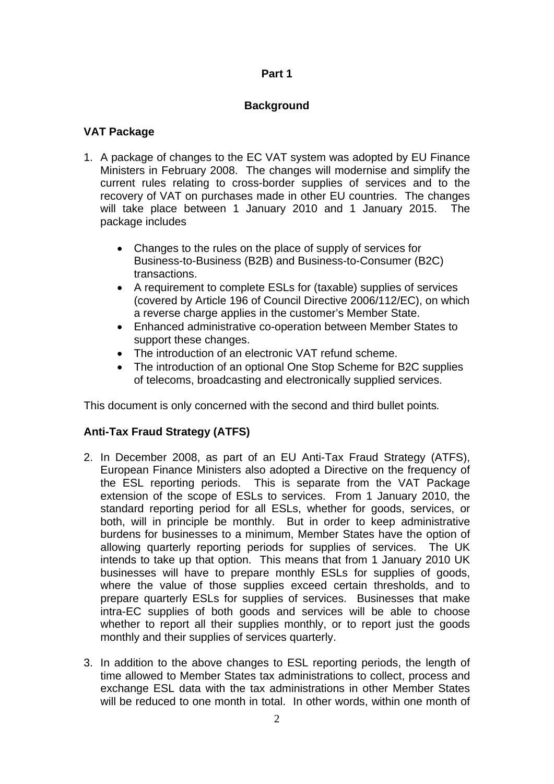# **Background**

# **VAT Package**

- 1. A package of changes to the EC VAT system was adopted by EU Finance Ministers in February 2008. The changes will modernise and simplify the current rules relating to cross-border supplies of services and to the recovery of VAT on purchases made in other EU countries. The changes will take place between 1 January 2010 and 1 January 2015. The package includes
	- Changes to the rules on the place of supply of services for Business-to-Business (B2B) and Business-to-Consumer (B2C) transactions.
	- A requirement to complete ESLs for (taxable) supplies of services (covered by Article 196 of Council Directive 2006/112/EC), on which a reverse charge applies in the customer's Member State.
	- Enhanced administrative co-operation between Member States to support these changes.
	- The introduction of an electronic VAT refund scheme.
	- The introduction of an optional One Stop Scheme for B2C supplies of telecoms, broadcasting and electronically supplied services.

This document is only concerned with the second and third bullet points*.* 

# **Anti-Tax Fraud Strategy (ATFS)**

- 2. In December 2008, as part of an EU Anti-Tax Fraud Strategy (ATFS), European Finance Ministers also adopted a Directive on the frequency of the ESL reporting periods. This is separate from the VAT Package extension of the scope of ESLs to services. From 1 January 2010, the standard reporting period for all ESLs, whether for goods, services, or both, will in principle be monthly. But in order to keep administrative burdens for businesses to a minimum, Member States have the option of allowing quarterly reporting periods for supplies of services. The UK intends to take up that option. This means that from 1 January 2010 UK businesses will have to prepare monthly ESLs for supplies of goods, where the value of those supplies exceed certain thresholds, and to prepare quarterly ESLs for supplies of services. Businesses that make intra-EC supplies of both goods and services will be able to choose whether to report all their supplies monthly, or to report just the goods monthly and their supplies of services quarterly.
- 3. In addition to the above changes to ESL reporting periods, the length of time allowed to Member States tax administrations to collect, process and exchange ESL data with the tax administrations in other Member States will be reduced to one month in total. In other words, within one month of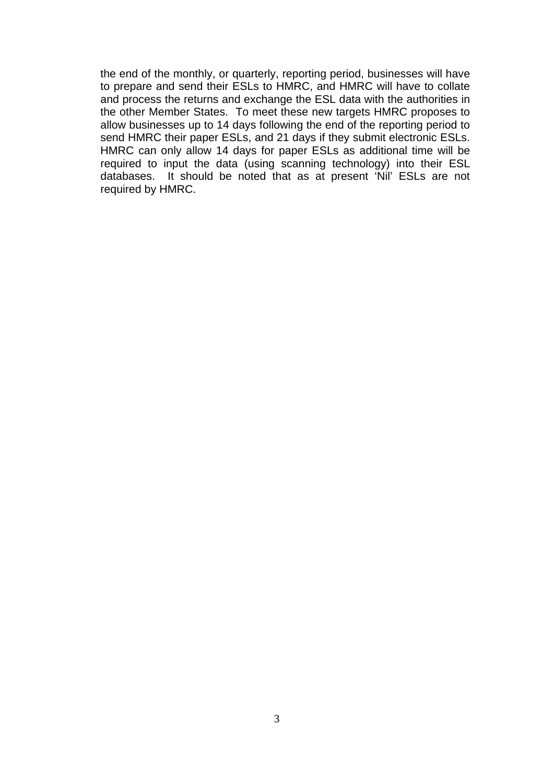the end of the monthly, or quarterly, reporting period, businesses will have to prepare and send their ESLs to HMRC, and HMRC will have to collate and process the returns and exchange the ESL data with the authorities in the other Member States. To meet these new targets HMRC proposes to allow businesses up to 14 days following the end of the reporting period to send HMRC their paper ESLs, and 21 days if they submit electronic ESLs. HMRC can only allow 14 days for paper ESLs as additional time will be required to input the data (using scanning technology) into their ESL databases. It should be noted that as at present 'Nil' ESLs are not required by HMRC.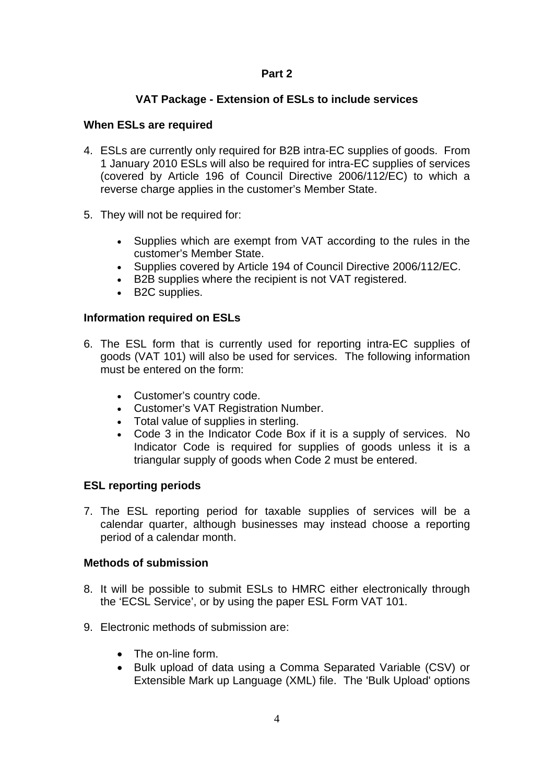# **VAT Package - Extension of ESLs to include services**

#### **When ESLs are required**

- 4. ESLs are currently only required for B2B intra-EC supplies of goods. From 1 January 2010 ESLs will also be required for intra-EC supplies of services (covered by Article 196 of Council Directive 2006/112/EC) to which a reverse charge applies in the customer's Member State.
- 5. They will not be required for:
	- Supplies which are exempt from VAT according to the rules in the customer's Member State.
	- Supplies covered by Article 194 of Council Directive 2006/112/EC.
	- B2B supplies where the recipient is not VAT registered.
	- B2C supplies.

#### **Information required on ESLs**

- 6. The ESL form that is currently used for reporting intra-EC supplies of goods (VAT 101) will also be used for services. The following information must be entered on the form:
	- Customer's country code.
	- Customer's VAT Registration Number.
	- Total value of supplies in sterling.
	- Code 3 in the Indicator Code Box if it is a supply of services. No Indicator Code is required for supplies of goods unless it is a triangular supply of goods when Code 2 must be entered.

#### **ESL reporting periods**

7. The ESL reporting period for taxable supplies of services will be a calendar quarter, although businesses may instead choose a reporting period of a calendar month.

#### **Methods of submission**

- 8. It will be possible to submit ESLs to HMRC either electronically through the 'ECSL Service', or by using the paper ESL Form VAT 101.
- 9. Electronic methods of submission are:
	- The on-line form
	- Bulk upload of data using a Comma Separated Variable (CSV) or Extensible Mark up Language (XML) file. The 'Bulk Upload' options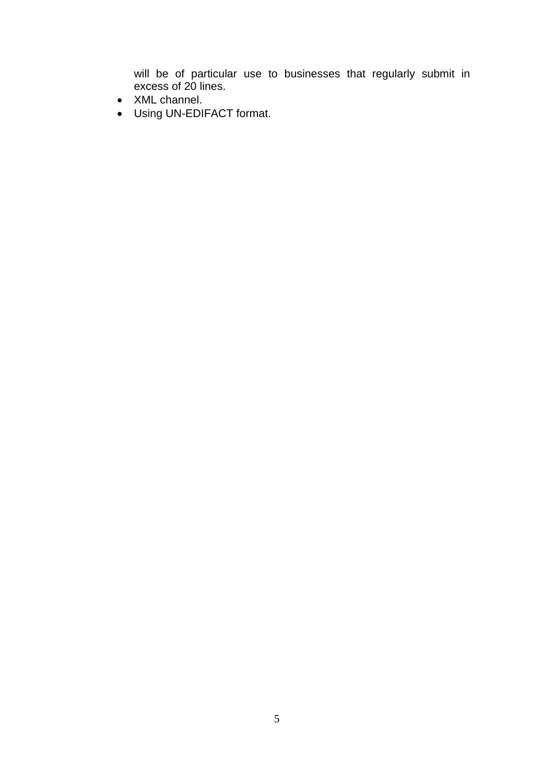will be of particular use to businesses that regularly submit in excess of 20 lines.

- XML channel.
- Using UN-EDIFACT format.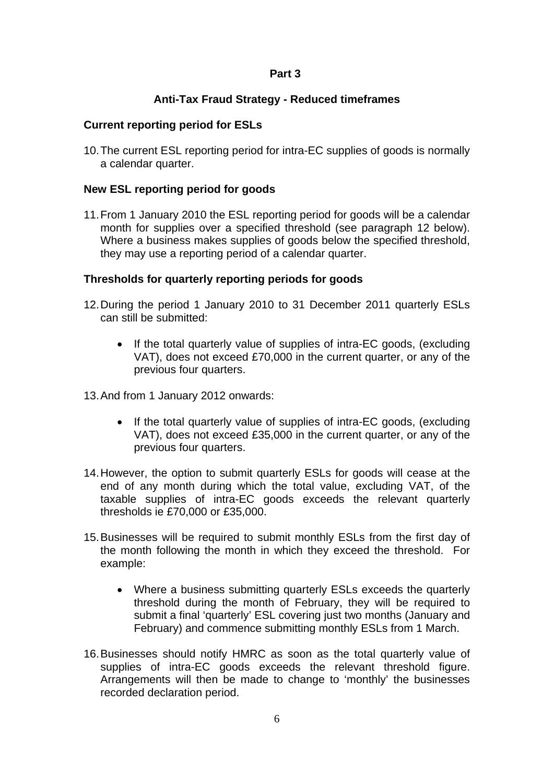## **Anti-Tax Fraud Strategy - Reduced timeframes**

## **Current reporting period for ESLs**

10. The current ESL reporting period for intra-EC supplies of goods is normally a calendar quarter.

## **New ESL reporting period for goods**

11. From 1 January 2010 the ESL reporting period for goods will be a calendar month for supplies over a specified threshold (see paragraph 12 below). Where a business makes supplies of goods below the specified threshold, they may use a reporting period of a calendar quarter.

## **Thresholds for quarterly reporting periods for goods**

- 12. During the period 1 January 2010 to 31 December 2011 quarterly ESLs can still be submitted:
	- If the total quarterly value of supplies of intra-EC goods, (excluding VAT), does not exceed £70,000 in the current quarter, or any of the previous four quarters.
- 13. And from 1 January 2012 onwards:
	- If the total quarterly value of supplies of intra-EC goods, (excluding VAT), does not exceed £35,000 in the current quarter, or any of the previous four quarters.
- 14. However, the option to submit quarterly ESLs for goods will cease at the end of any month during which the total value, excluding VAT, of the taxable supplies of intra-EC goods exceeds the relevant quarterly thresholds ie £70,000 or £35,000.
- 15. Businesses will be required to submit monthly ESLs from the first day of the month following the month in which they exceed the threshold. For example:
	- Where a business submitting quarterly ESLs exceeds the quarterly threshold during the month of February, they will be required to submit a final 'quarterly' ESL covering just two months (January and February) and commence submitting monthly ESLs from 1 March.
- 16. Businesses should notify HMRC as soon as the total quarterly value of supplies of intra-EC goods exceeds the relevant threshold figure. Arrangements will then be made to change to 'monthly' the businesses recorded declaration period.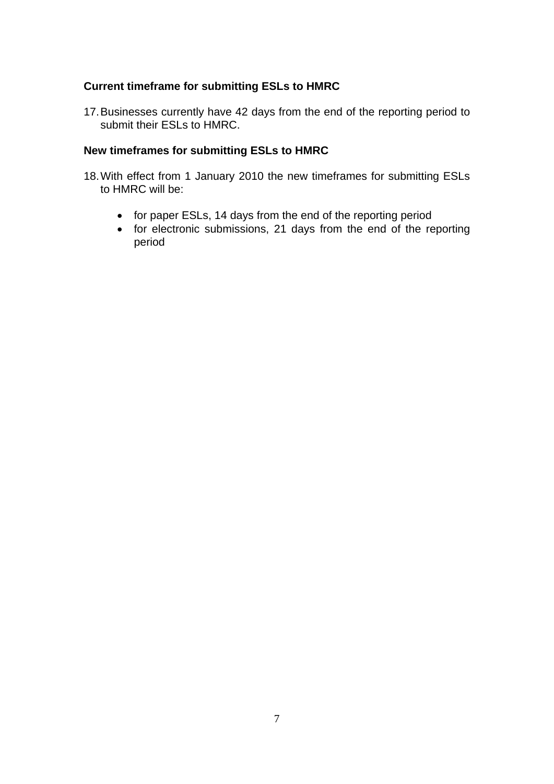### **Current timeframe for submitting ESLs to HMRC**

17. Businesses currently have 42 days from the end of the reporting period to submit their ESLs to HMRC.

#### **New timeframes for submitting ESLs to HMRC**

- 18. With effect from 1 January 2010 the new timeframes for submitting ESLs to HMRC will be:
	- for paper ESLs, 14 days from the end of the reporting period
	- for electronic submissions, 21 days from the end of the reporting period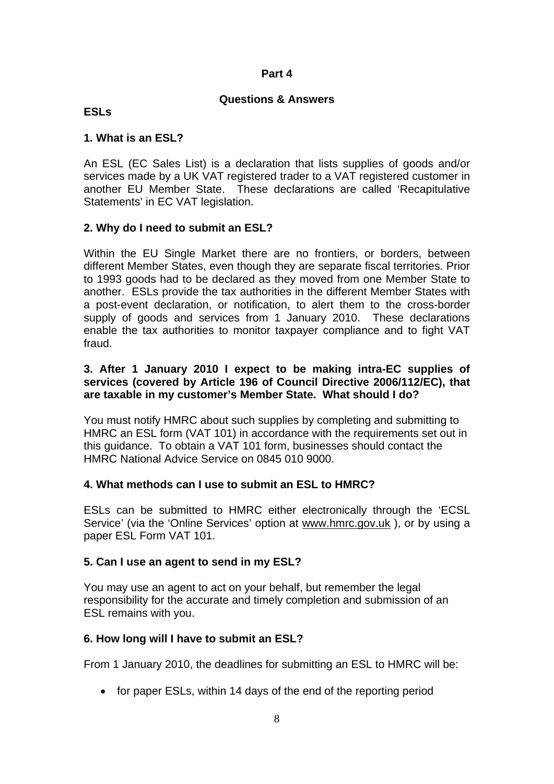#### **Questions & Answers**

#### **ESLs**

#### **1. What is an ESL?**

An ESL (EC Sales List) is a declaration that lists supplies of goods and/or services made by a UK VAT registered trader to a VAT registered customer in another EU Member State. These declarations are called 'Recapitulative Statements' in EC VAT legislation.

## **2. Why do I need to submit an ESL?**

Within the EU Single Market there are no frontiers, or borders, between different Member States, even though they are separate fiscal territories. Prior to 1993 goods had to be declared as they moved from one Member State to another. ESLs provide the tax authorities in the different Member States with a post-event declaration, or notification, to alert them to the cross-border supply of goods and services from 1 January 2010. These declarations enable the tax authorities to monitor taxpayer compliance and to fight VAT fraud.

### **3. After 1 January 2010 I expect to be making intra-EC supplies of services (covered by Article 196 of Council Directive 2006/112/EC), that are taxable in my customer's Member State. What should I do?**

You must notify HMRC about such supplies by completing and submitting to HMRC an ESL form (VAT 101) in accordance with the requirements set out in this guidance. To obtain a VAT 101 form, businesses should contact the HMRC National Advice Service on 0845 010 9000.

## **4. What methods can I use to submit an ESL to HMRC?**

ESLs can be submitted to HMRC either electronically through the 'ECSL Service' (via the 'Online Services' option at [www.hmrc.gov.uk](http://www.hmrc.gov.uk/) ), or by using a paper ESL Form VAT 101.

## **5. Can I use an agent to send in my ESL?**

You may use an agent to act on your behalf, but remember the legal responsibility for the accurate and timely completion and submission of an ESL remains with you.

## **6. How long will I have to submit an ESL?**

From 1 January 2010, the deadlines for submitting an ESL to HMRC will be:

• for paper ESLs, within 14 days of the end of the reporting period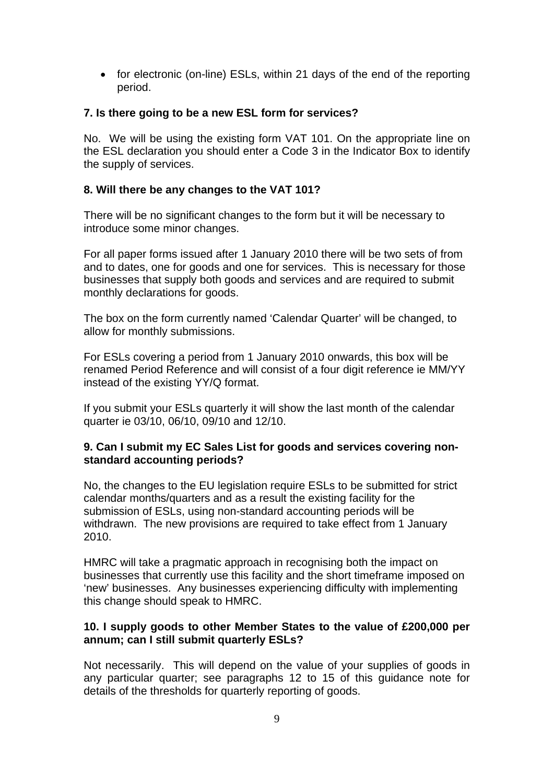• for electronic (on-line) ESLs, within 21 days of the end of the reporting period.

## **7. Is there going to be a new ESL form for services?**

No. We will be using the existing form VAT 101. On the appropriate line on the ESL declaration you should enter a Code 3 in the Indicator Box to identify the supply of services.

## **8. Will there be any changes to the VAT 101?**

There will be no significant changes to the form but it will be necessary to introduce some minor changes.

For all paper forms issued after 1 January 2010 there will be two sets of from and to dates, one for goods and one for services. This is necessary for those businesses that supply both goods and services and are required to submit monthly declarations for goods.

The box on the form currently named 'Calendar Quarter' will be changed, to allow for monthly submissions.

For ESLs covering a period from 1 January 2010 onwards, this box will be renamed Period Reference and will consist of a four digit reference ie MM/YY instead of the existing YY/Q format.

If you submit your ESLs quarterly it will show the last month of the calendar quarter ie 03/10, 06/10, 09/10 and 12/10.

## **9. Can I submit my EC Sales List for goods and services covering nonstandard accounting periods?**

No, the changes to the EU legislation require ESLs to be submitted for strict calendar months/quarters and as a result the existing facility for the submission of ESLs, using non-standard accounting periods will be withdrawn. The new provisions are required to take effect from 1 January 2010.

HMRC will take a pragmatic approach in recognising both the impact on businesses that currently use this facility and the short timeframe imposed on 'new' businesses. Any businesses experiencing difficulty with implementing this change should speak to HMRC.

## **10. I supply goods to other Member States to the value of £200,000 per annum; can I still submit quarterly ESLs?**

Not necessarily. This will depend on the value of your supplies of goods in any particular quarter; see paragraphs 12 to 15 of this guidance note for details of the thresholds for quarterly reporting of goods.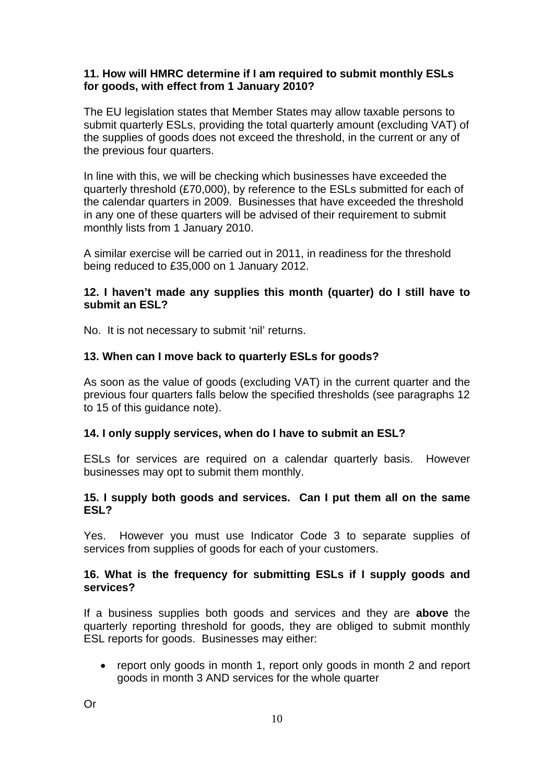### **11. How will HMRC determine if I am required to submit monthly ESLs for goods, with effect from 1 January 2010?**

The EU legislation states that Member States may allow taxable persons to submit quarterly ESLs, providing the total quarterly amount (excluding VAT) of the supplies of goods does not exceed the threshold, in the current or any of the previous four quarters.

In line with this, we will be checking which businesses have exceeded the quarterly threshold (£70,000), by reference to the ESLs submitted for each of the calendar quarters in 2009. Businesses that have exceeded the threshold in any one of these quarters will be advised of their requirement to submit monthly lists from 1 January 2010.

A similar exercise will be carried out in 2011, in readiness for the threshold being reduced to £35,000 on 1 January 2012.

## **12. I haven't made any supplies this month (quarter) do I still have to submit an ESL?**

No. It is not necessary to submit 'nil' returns.

## **13. When can I move back to quarterly ESLs for goods?**

As soon as the value of goods (excluding VAT) in the current quarter and the previous four quarters falls below the specified thresholds (see paragraphs 12 to 15 of this guidance note).

## **14. I only supply services, when do I have to submit an ESL?**

ESLs for services are required on a calendar quarterly basis. However businesses may opt to submit them monthly.

## **15. I supply both goods and services. Can I put them all on the same ESL?**

Yes. However you must use Indicator Code 3 to separate supplies of services from supplies of goods for each of your customers.

## **16. What is the frequency for submitting ESLs if I supply goods and services?**

If a business supplies both goods and services and they are **above** the quarterly reporting threshold for goods, they are obliged to submit monthly ESL reports for goods. Businesses may either:

 report only goods in month 1, report only goods in month 2 and report goods in month 3 AND services for the whole quarter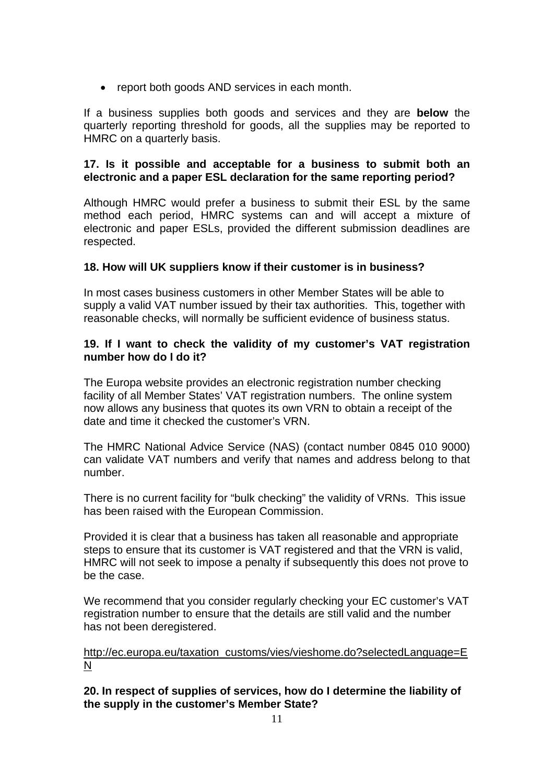report both goods AND services in each month.

If a business supplies both goods and services and they are **below** the quarterly reporting threshold for goods, all the supplies may be reported to HMRC on a quarterly basis.

#### **17. Is it possible and acceptable for a business to submit both an electronic and a paper ESL declaration for the same reporting period?**

Although HMRC would prefer a business to submit their ESL by the same method each period, HMRC systems can and will accept a mixture of electronic and paper ESLs, provided the different submission deadlines are respected.

## **18. How will UK suppliers know if their customer is in business?**

In most cases business customers in other Member States will be able to supply a valid VAT number issued by their tax authorities. This, together with reasonable checks, will normally be sufficient evidence of business status.

## **19. If I want to check the validity of my customer's VAT registration number how do I do it?**

The Europa website provides an electronic registration number checking facility of all Member States' VAT registration numbers. The online system now allows any business that quotes its own VRN to obtain a receipt of the date and time it checked the customer's VRN.

The HMRC National Advice Service (NAS) (contact number 0845 010 9000) can validate VAT numbers and verify that names and address belong to that number.

There is no current facility for "bulk checking" the validity of VRNs. This issue has been raised with the European Commission.

Provided it is clear that a business has taken all reasonable and appropriate steps to ensure that its customer is VAT registered and that the VRN is valid, HMRC will not seek to impose a penalty if subsequently this does not prove to be the case.

We recommend that you consider regularly checking your EC customer's VAT registration number to ensure that the details are still valid and the number has not been deregistered.

## [http://ec.europa.eu/taxation\\_customs/vies/vieshome.do?selectedLanguage=E](http://ec.europa.eu/taxation_customs/vies/vieshome.do?selectedLanguage=EN) [N](http://ec.europa.eu/taxation_customs/vies/vieshome.do?selectedLanguage=EN)

**20. In respect of supplies of services, how do I determine the liability of the supply in the customer's Member State?**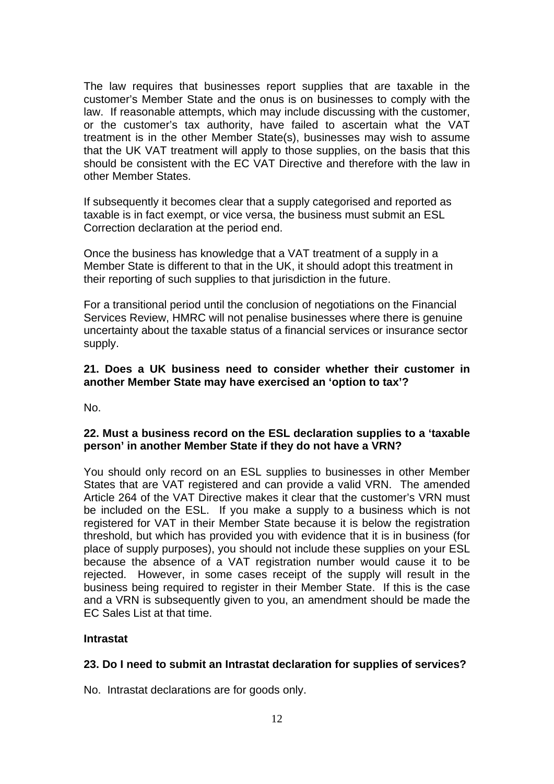The law requires that businesses report supplies that are taxable in the customer's Member State and the onus is on businesses to comply with the law. If reasonable attempts, which may include discussing with the customer, or the customer's tax authority, have failed to ascertain what the VAT treatment is in the other Member State(s), businesses may wish to assume that the UK VAT treatment will apply to those supplies, on the basis that this should be consistent with the EC VAT Directive and therefore with the law in other Member States.

If subsequently it becomes clear that a supply categorised and reported as taxable is in fact exempt, or vice versa, the business must submit an ESL Correction declaration at the period end.

Once the business has knowledge that a VAT treatment of a supply in a Member State is different to that in the UK, it should adopt this treatment in their reporting of such supplies to that jurisdiction in the future.

For a transitional period until the conclusion of negotiations on the Financial Services Review, HMRC will not penalise businesses where there is genuine uncertainty about the taxable status of a financial services or insurance sector supply.

## **21. Does a UK business need to consider whether their customer in another Member State may have exercised an 'option to tax'?**

No.

# **22. Must a business record on the ESL declaration supplies to a 'taxable person' in another Member State if they do not have a VRN?**

You should only record on an ESL supplies to businesses in other Member States that are VAT registered and can provide a valid VRN. The amended Article 264 of the VAT Directive makes it clear that the customer's VRN must be included on the ESL. If you make a supply to a business which is not registered for VAT in their Member State because it is below the registration threshold, but which has provided you with evidence that it is in business (for place of supply purposes), you should not include these supplies on your ESL because the absence of a VAT registration number would cause it to be rejected. However, in some cases receipt of the supply will result in the business being required to register in their Member State. If this is the case and a VRN is subsequently given to you, an amendment should be made the EC Sales List at that time.

## **Intrastat**

## **23. Do I need to submit an Intrastat declaration for supplies of services?**

No. Intrastat declarations are for goods only.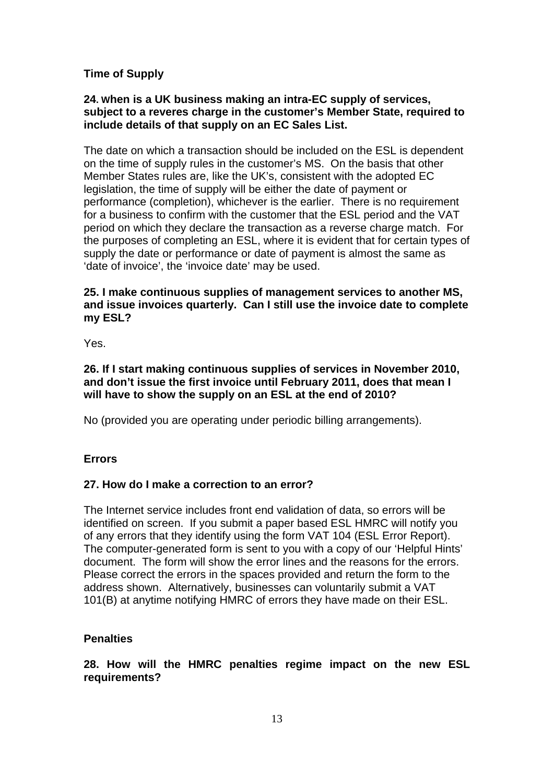# **Time of Supply**

#### **24. When is a UK business making an intra-EC supply of services, subject to a reveres charge in the customer's Member State, required to include details of that supply on an EC Sales List.**

The date on which a transaction should be included on the ESL is dependent on the time of supply rules in the customer's MS. On the basis that other Member States rules are, like the UK's, consistent with the adopted EC legislation, the time of supply will be either the date of payment or performance (completion), whichever is the earlier. There is no requirement for a business to confirm with the customer that the ESL period and the VAT period on which they declare the transaction as a reverse charge match. For the purposes of completing an ESL, where it is evident that for certain types of supply the date or performance or date of payment is almost the same as 'date of invoice', the 'invoice date' may be used.

## **25. I make continuous supplies of management services to another MS, and issue invoices quarterly. Can I still use the invoice date to complete my ESL?**

Yes.

### **26. If I start making continuous supplies of services in November 2010, and don't issue the first invoice until February 2011, does that mean I will have to show the supply on an ESL at the end of 2010?**

No (provided you are operating under periodic billing arrangements).

## **Errors**

## **27. How do I make a correction to an error?**

The Internet service includes front end validation of data, so errors will be identified on screen. If you submit a paper based ESL HMRC will notify you of any errors that they identify using the form VAT 104 (ESL Error Report). The computer-generated form is sent to you with a copy of our 'Helpful Hints' document. The form will show the error lines and the reasons for the errors. Please correct the errors in the spaces provided and return the form to the address shown. Alternatively, businesses can voluntarily submit a VAT 101(B) at anytime notifying HMRC of errors they have made on their ESL.

## **Penalties**

**28. How will the HMRC penalties regime impact on the new ESL requirements?**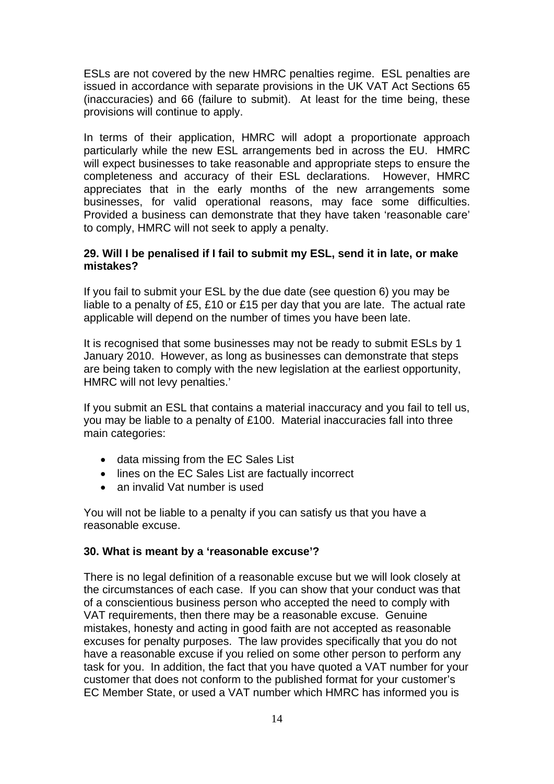ESLs are not covered by the new HMRC penalties regime. ESL penalties are issued in accordance with separate provisions in the UK VAT Act Sections 65 (inaccuracies) and 66 (failure to submit). At least for the time being, these provisions will continue to apply.

In terms of their application, HMRC will adopt a proportionate approach particularly while the new ESL arrangements bed in across the EU. HMRC will expect businesses to take reasonable and appropriate steps to ensure the completeness and accuracy of their ESL declarations. However, HMRC appreciates that in the early months of the new arrangements some businesses, for valid operational reasons, may face some difficulties. Provided a business can demonstrate that they have taken 'reasonable care' to comply, HMRC will not seek to apply a penalty.

#### **29. Will I be penalised if I fail to submit my ESL, send it in late, or make mistakes?**

If you fail to submit your ESL by the due date (see question 6) you may be liable to a penalty of £5, £10 or £15 per day that you are late. The actual rate applicable will depend on the number of times you have been late.

It is recognised that some businesses may not be ready to submit ESLs by 1 January 2010. However, as long as businesses can demonstrate that steps are being taken to comply with the new legislation at the earliest opportunity, HMRC will not levy penalties.'

If you submit an ESL that contains a material inaccuracy and you fail to tell us, you may be liable to a penalty of £100. Material inaccuracies fall into three main categories:

- data missing from the EC Sales List
- lines on the EC Sales List are factually incorrect
- an invalid Vat number is used

You will not be liable to a penalty if you can satisfy us that you have a reasonable excuse.

#### **30. What is meant by a 'reasonable excuse'?**

There is no legal definition of a reasonable excuse but we will look closely at the circumstances of each case. If you can show that your conduct was that of a conscientious business person who accepted the need to comply with VAT requirements, then there may be a reasonable excuse. Genuine mistakes, honesty and acting in good faith are not accepted as reasonable excuses for penalty purposes. The law provides specifically that you do not have a reasonable excuse if you relied on some other person to perform any task for you. In addition, the fact that you have quoted a VAT number for your customer that does not conform to the published format for your customer's EC Member State, or used a VAT number which HMRC has informed you is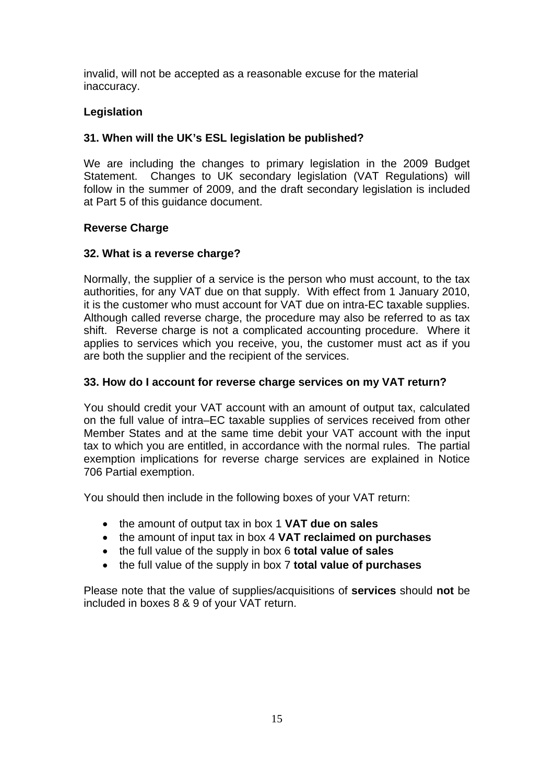invalid, will not be accepted as a reasonable excuse for the material inaccuracy.

# **Legislation**

# **31. When will the UK's ESL legislation be published?**

We are including the changes to primary legislation in the 2009 Budget Statement. Changes to UK secondary legislation (VAT Regulations) will follow in the summer of 2009, and the draft secondary legislation is included at Part 5 of this guidance document.

## **Reverse Charge**

## **32. What is a reverse charge?**

Normally, the supplier of a service is the person who must account, to the tax authorities, for any VAT due on that supply. With effect from 1 January 2010, it is the customer who must account for VAT due on intra-EC taxable supplies. Although called reverse charge, the procedure may also be referred to as tax shift. Reverse charge is not a complicated accounting procedure. Where it applies to services which you receive, you, the customer must act as if you are both the supplier and the recipient of the services.

## **33. How do I account for reverse charge services on my VAT return?**

You should credit your VAT account with an amount of output tax, calculated on the full value of intra–EC taxable supplies of services received from other Member States and at the same time debit your VAT account with the input tax to which you are entitled, in accordance with the normal rules. The partial exemption implications for reverse charge services are explained in Notice 706 Partial exemption.

You should then include in the following boxes of your VAT return:

- the amount of output tax in box 1 **VAT due on sales**
- the amount of input tax in box 4 **VAT reclaimed on purchases**
- the full value of the supply in box 6 **total value of sales**
- the full value of the supply in box 7 **total value of purchases**

Please note that the value of supplies/acquisitions of **services** should **not** be included in boxes 8 & 9 of your VAT return.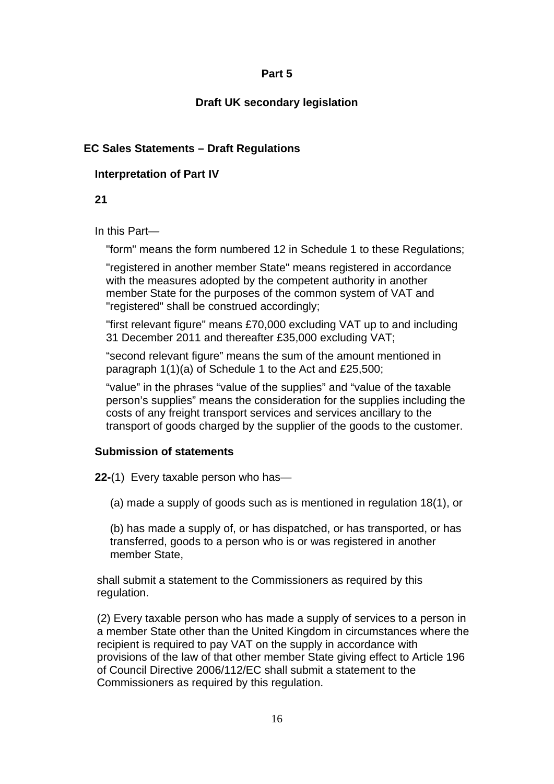# **Draft UK secondary legislation**

# **EC Sales Statements – Draft Regulations**

## **Interpretation of Part IV**

**21** 

In this Part*—*

"form" means the form numbered 12 in Schedule 1 to these Regulations;

"registered in another member State" means registered in accordance with the measures adopted by the competent authority in another member State for the purposes of the common system of VAT and "registered" shall be construed accordingly;

"first relevant figure" means £70,000 excluding VAT up to and including 31 December 2011 and thereafter £35,000 excluding VAT;

"second relevant figure" means the sum of the amount mentioned in paragraph 1(1)(a) of Schedule 1 to the Act and £25,500;

"value" in the phrases "value of the supplies" and "value of the taxable person's supplies" means the consideration for the supplies including the costs of any freight transport services and services ancillary to the transport of goods charged by the supplier of the goods to the customer.

## **Submission of statements**

**22-**(1) Every taxable person who has—

(a) made a supply of goods such as is mentioned in regulation 18(1), or

(b) has made a supply of, or has dispatched, or has transported, or has transferred, goods to a person who is or was registered in another member State,

shall submit a statement to the Commissioners as required by this regulation.

(2) Every taxable person who has made a supply of services to a person in a member State other than the United Kingdom in circumstances where the recipient is required to pay VAT on the supply in accordance with provisions of the law of that other member State giving effect to Article 196 of Council Directive 2006/112/EC shall submit a statement to the Commissioners as required by this regulation.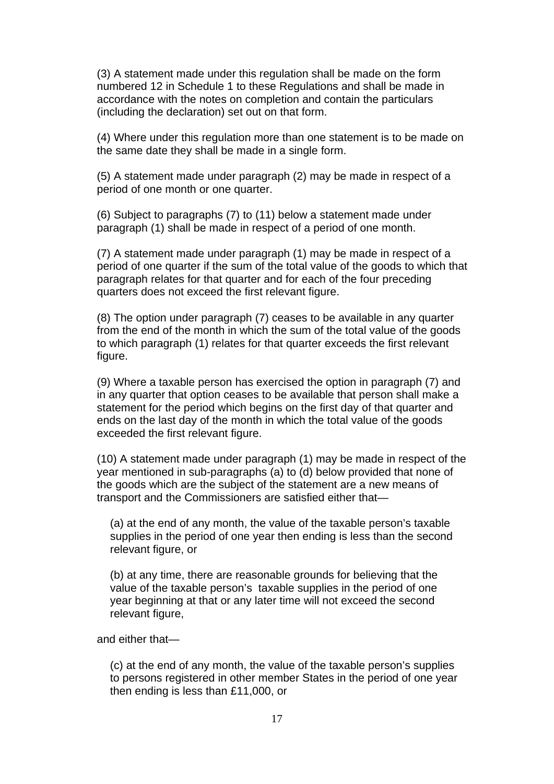(3) A statement made under this regulation shall be made on the form numbered 12 in Schedule 1 to these Regulations and shall be made in accordance with the notes on completion and contain the particulars (including the declaration) set out on that form.

(4) Where under this regulation more than one statement is to be made on the same date they shall be made in a single form.

(5) A statement made under paragraph (2) may be made in respect of a period of one month or one quarter.

(6) Subject to paragraphs (7) to (11) below a statement made under paragraph (1) shall be made in respect of a period of one month.

(7) A statement made under paragraph (1) may be made in respect of a period of one quarter if the sum of the total value of the goods to which that paragraph relates for that quarter and for each of the four preceding quarters does not exceed the first relevant figure.

(8) The option under paragraph (7) ceases to be available in any quarter from the end of the month in which the sum of the total value of the goods to which paragraph (1) relates for that quarter exceeds the first relevant figure.

(9) Where a taxable person has exercised the option in paragraph (7) and in any quarter that option ceases to be available that person shall make a statement for the period which begins on the first day of that quarter and ends on the last day of the month in which the total value of the goods exceeded the first relevant figure.

(10) A statement made under paragraph (1) may be made in respect of the year mentioned in sub-paragraphs (a) to (d) below provided that none of the goods which are the subject of the statement are a new means of transport and the Commissioners are satisfied either that—

(a) at the end of any month, the value of the taxable person's taxable supplies in the period of one year then ending is less than the second relevant figure, or

(b) at any time, there are reasonable grounds for believing that the value of the taxable person's taxable supplies in the period of one year beginning at that or any later time will not exceed the second relevant figure,

and either that—

(c) at the end of any month, the value of the taxable person's supplies to persons registered in other member States in the period of one year then ending is less than £11,000, or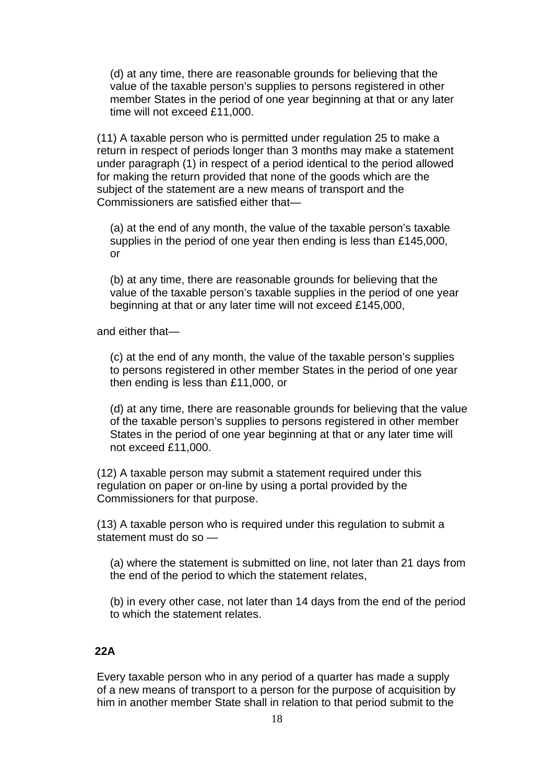(d) at any time, there are reasonable grounds for believing that the value of the taxable person's supplies to persons registered in other member States in the period of one year beginning at that or any later time will not exceed £11,000.

(11) A taxable person who is permitted under regulation 25 to make a return in respect of periods longer than 3 months may make a statement under paragraph (1) in respect of a period identical to the period allowed for making the return provided that none of the goods which are the subject of the statement are a new means of transport and the Commissioners are satisfied either that—

(a) at the end of any month, the value of the taxable person's taxable supplies in the period of one year then ending is less than £145,000, or

(b) at any time, there are reasonable grounds for believing that the value of the taxable person's taxable supplies in the period of one year beginning at that or any later time will not exceed £145,000,

and either that—

(c) at the end of any month, the value of the taxable person's supplies to persons registered in other member States in the period of one year then ending is less than £11,000, or

(d) at any time, there are reasonable grounds for believing that the value of the taxable person's supplies to persons registered in other member States in the period of one year beginning at that or any later time will not exceed £11,000.

(12) A taxable person may submit a statement required under this regulation on paper or on-line by using a portal provided by the Commissioners for that purpose.

(13) A taxable person who is required under this regulation to submit a statement must do so —

(a) where the statement is submitted on line, not later than 21 days from the end of the period to which the statement relates,

(b) in every other case, not later than 14 days from the end of the period to which the statement relates.

#### **22A**

Every taxable person who in any period of a quarter has made a supply of a new means of transport to a person for the purpose of acquisition by him in another member State shall in relation to that period submit to the